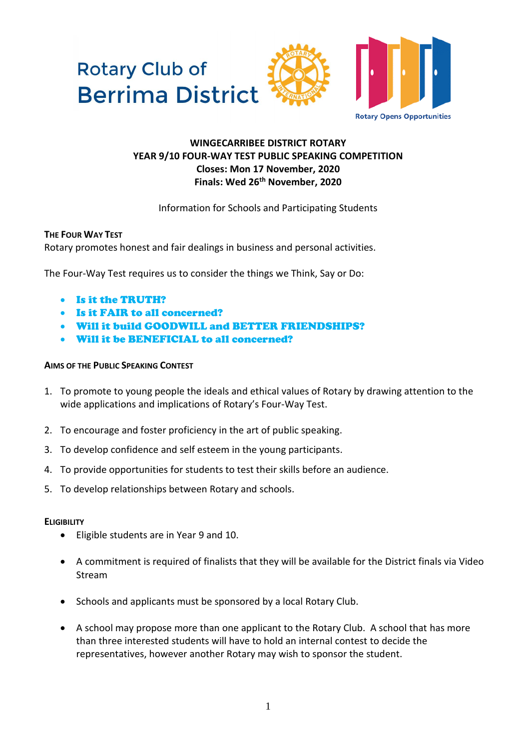

## **WINGECARRIBEE DISTRICT ROTARY YEAR 9/10 FOUR-WAY TEST PUBLIC SPEAKING COMPETITION Closes: Mon 17 November, 2020 Finals: Wed 26th November, 2020**

Information for Schools and Participating Students

## **THE FOUR WAY TEST**

Rotary promotes honest and fair dealings in business and personal activities.

The Four-Way Test requires us to consider the things we Think, Say or Do:

- Is it the TRUTH?
- Is it FAIR to all concerned?
- Will it build GOODWILL and BETTER FRIENDSHIPS?
- Will it be BENEFICIAL to all concerned?

#### **AIMS OF THE PUBLIC SPEAKING CONTEST**

- 1. To promote to young people the ideals and ethical values of Rotary by drawing attention to the wide applications and implications of Rotary's Four-Way Test.
- 2. To encourage and foster proficiency in the art of public speaking.
- 3. To develop confidence and self esteem in the young participants.
- 4. To provide opportunities for students to test their skills before an audience.
- 5. To develop relationships between Rotary and schools.

#### **ELIGIBILITY**

- Eligible students are in Year 9 and 10.
- A commitment is required of finalists that they will be available for the District finals via Video Stream
- Schools and applicants must be sponsored by a local Rotary Club.
- A school may propose more than one applicant to the Rotary Club. A school that has more than three interested students will have to hold an internal contest to decide the representatives, however another Rotary may wish to sponsor the student.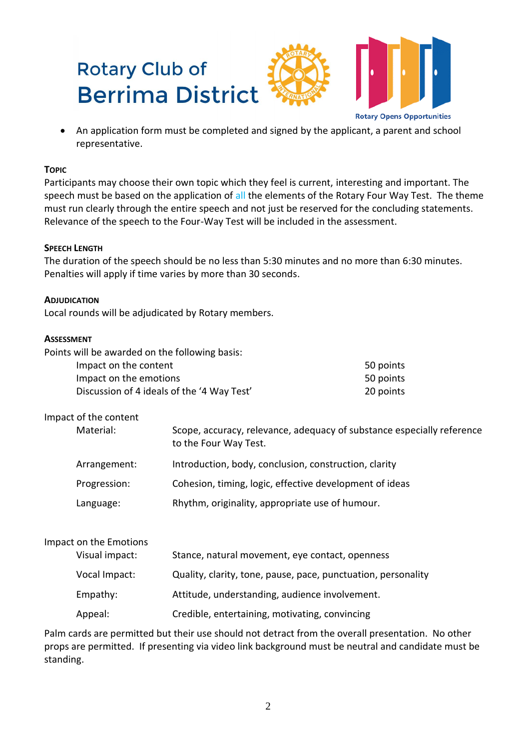# **Rotary Club of Berrima District**

• An application form must be completed and signed by the applicant, a parent and school representative.

**Rotary Opens Opportunities** 

## **TOPIC**

Participants may choose their own topic which they feel is current, interesting and important. The speech must be based on the application of all the elements of the Rotary Four Way Test. The theme must run clearly through the entire speech and not just be reserved for the concluding statements. Relevance of the speech to the Four-Way Test will be included in the assessment.

## **SPEECH LENGTH**

The duration of the speech should be no less than 5:30 minutes and no more than 6:30 minutes. Penalties will apply if time varies by more than 30 seconds.

#### **ADJUDICATION**

Local rounds will be adjudicated by Rotary members.

#### **ASSESSMENT**

Points will be awarded on the following basis:

| Impact on the content                      | 50 points |
|--------------------------------------------|-----------|
| Impact on the emotions                     | 50 points |
| Discussion of 4 ideals of the '4 Way Test' | 20 points |

## Impact of the content

| Material:    | Scope, accuracy, relevance, adequacy of substance especially reference<br>to the Four Way Test. |
|--------------|-------------------------------------------------------------------------------------------------|
| Arrangement: | Introduction, body, conclusion, construction, clarity                                           |
| Progression: | Cohesion, timing, logic, effective development of ideas                                         |
| Language:    | Rhythm, originality, appropriate use of humour.                                                 |

## Impact on the Emotions

| Visual impact: | Stance, natural movement, eye contact, openness               |
|----------------|---------------------------------------------------------------|
| Vocal Impact:  | Quality, clarity, tone, pause, pace, punctuation, personality |
| Empathy:       | Attitude, understanding, audience involvement.                |
| Appeal:        | Credible, entertaining, motivating, convincing                |

Palm cards are permitted but their use should not detract from the overall presentation. No other props are permitted. If presenting via video link background must be neutral and candidate must be standing.